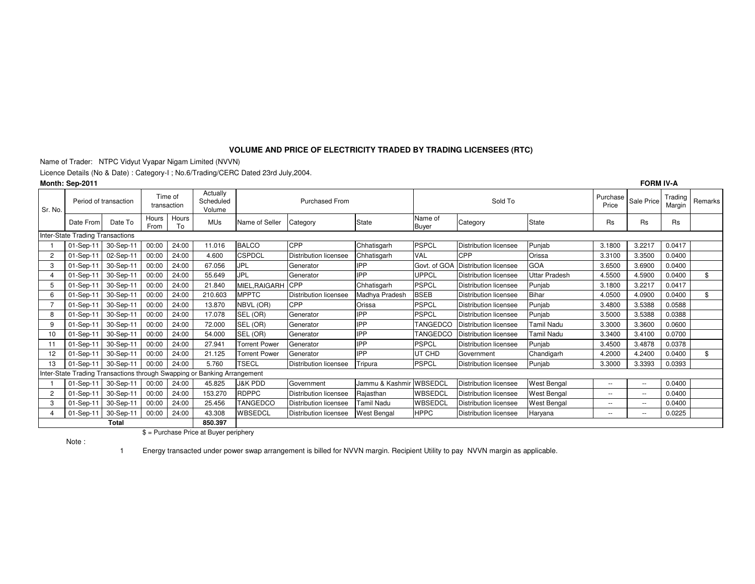## **VOLUME AND PRICE OF ELECTRICITY TRADED BY TRADING LICENSEES (RTC)**

Name of Trader: NTPC Vidyut Vyapar Nigam Limited (NVVN)

Licence Details (No & Date) : Category-I ; No.6/Trading/CERC Dated 23rd July,2004.

|                                  | <b>FORM IV-A</b><br>Month: Sep-2011 |           |                        |             |                                                                          |                       |                              |                         |                  |                              |                    |           |                               |                   |         |
|----------------------------------|-------------------------------------|-----------|------------------------|-------------|--------------------------------------------------------------------------|-----------------------|------------------------------|-------------------------|------------------|------------------------------|--------------------|-----------|-------------------------------|-------------------|---------|
| Sr. No.                          | Period of transaction               |           | Time of<br>transaction |             | Actually<br>Scheduled<br>Volume                                          | <b>Purchased From</b> |                              |                         |                  | Sold To                      |                    |           | <b>Purchase</b><br>Sale Price | Trading<br>Margin | Remarks |
|                                  | Date From                           | Date To   | Hours<br>From          | Hours<br>To | <b>MUs</b>                                                               | Name of Seller        | Category                     | State                   | Name of<br>Buyer | Category                     | <b>State</b>       | <b>Rs</b> | <b>Rs</b>                     | <b>Rs</b>         |         |
| Inter-State Trading Transactions |                                     |           |                        |             |                                                                          |                       |                              |                         |                  |                              |                    |           |                               |                   |         |
|                                  | 01-Sep-11                           | 30-Sep-11 | 00:00                  | 24:00       | 11.016                                                                   | <b>BALCO</b>          | CPP                          | Chhatisgarh             | <b>PSPCL</b>     | <b>Distribution licensee</b> | Punjab             | 3.1800    | 3.2217                        | 0.0417            |         |
| $\overline{c}$                   | 01-Sep-11                           | 02-Sep-11 | 00:00                  | 24:00       | 4.600                                                                    | <b>CSPDCL</b>         | <b>Distribution licensee</b> | Chhatisgarh             | <b>VAL</b>       | <b>CPP</b>                   | Orissa             | 3.3100    | 3.3500                        | 0.0400            |         |
| 3                                | 01-Sep-11                           | 30-Sep-11 | 00:00                  | 24:00       | 67.056                                                                   | <b>JPL</b>            | Generator                    | <b>IPP</b>              | Govt. of GOA     | Distribution licensee        | GOA                | 3.6500    | 3.6900                        | 0.0400            |         |
| 4                                | 01-Sep-11                           | 30-Sep-11 | 00:00                  | 24:00       | 55.649                                                                   | <b>JPL</b>            | Generator                    | <b>IPP</b>              | <b>UPPCL</b>     | Distribution licensee        | Jttar Pradesh      | 4.5500    | 4.5900                        | 0.0400            | \$      |
| 5                                | 01-Sep-11                           | 30-Sep-11 | 00:00                  | 24:00       | 21.840                                                                   | <b>MIEL.RAIGARH</b>   | CPP                          | Chhatisgarh             | <b>PSPCL</b>     | Distribution licensee        | Punjab             | 3.1800    | 3.2217                        | 0.0417            |         |
| 6                                | 01-Sep-11                           | 30-Sep-11 | 00:00                  | 24:00       | 210.603                                                                  | <b>MPPTC</b>          | <b>Distribution licensee</b> | Madhya Pradesh          | <b>BSEB</b>      | Distribution licensee        | <b>Bihar</b>       | 4.0500    | 4.0900                        | 0.0400            | \$      |
|                                  | 01-Sep-11                           | 30-Sep-11 | 00:00                  | 24:00       | 13.870                                                                   | NBVL (OR)             | CPP                          | Orissa                  | <b>PSPCL</b>     | <b>Distribution licensee</b> | Punjab             | 3.4800    | 3.5388                        | 0.0588            |         |
| 8                                | 01-Sep-11                           | 30-Sep-11 | 00:00                  | 24:00       | 17.078                                                                   | SEL (OR)              | Generator                    | <b>IPP</b>              | <b>PSPCL</b>     | Distribution licensee        | Punjab             | 3.5000    | 3.5388                        | 0.0388            |         |
| 9                                | 01-Sep-11                           | 30-Sep-11 | 00:00                  | 24:00       | 72.000                                                                   | SEL (OR)              | Generator                    | IPP                     | TANGEDCC         | <b>Distribution licensee</b> | Tamil Nadu         | 3.3000    | 3.3600                        | 0.0600            |         |
| 10                               | 01-Sep-11                           | 30-Sep-11 | 00:00                  | 24:00       | 54.000                                                                   | SEL (OR)              | Generator                    | IPP                     | TANGEDCC         | Distribution licensee        | Tamil Nadu         | 3.3400    | 3.4100                        | 0.0700            |         |
| 11                               | 01-Sep-11                           | 30-Sep-11 | 00:00                  | 24:00       | 27.941                                                                   | <b>Torrent Power</b>  | Generator                    | <b>IPP</b>              | <b>PSPCL</b>     | <b>Distribution licensee</b> | Punjab             | 3.4500    | 3.4878                        | 0.0378            |         |
| 12                               | 01-Sep-11                           | 30-Sep-11 | 00:00                  | 24:00       | 21.125                                                                   | <b>Torrent Power</b>  | Generator                    | <b>IPP</b>              | UT CHD           | Government                   | Chandigarh         | 4.2000    | 4.2400                        | 0.0400            | \$      |
| 13                               | 01-Sep-11                           | 30-Sep-11 | 00:00                  | 24:00       | 5.760                                                                    | <b>TSECL</b>          | Distribution licensee        | Tripura                 | <b>PSPCL</b>     | Distribution licensee        | Punjab             | 3.3000    | 3.3393                        | 0.0393            |         |
|                                  |                                     |           |                        |             | Inter-State Trading Transactions through Swapping or Banking Arrangement |                       |                              |                         |                  |                              |                    |           |                               |                   |         |
|                                  | 01-Sep-11                           | 30-Sep-11 | 00:00                  | 24:00       | 45.825                                                                   | <b>J&amp;K PDD</b>    | Government                   | Jammu & Kashmir WBSEDCL |                  | Distribution licensee        | <b>West Bengal</b> | $\sim$    | $\overline{\phantom{a}}$      | 0.0400            |         |
| $\overline{c}$                   | 01-Sep-11                           | 30-Sep-11 | 00:00                  | 24:00       | 153,270                                                                  | <b>RDPPC</b>          | Distribution licensee        | Rajasthan               | WBSEDCL          | Distribution licensee        | West Bengal        | $\sim$    | $\sim$ $\sim$                 | 0.0400            |         |
| 3                                | 01-Sep-11                           | 30-Sep-11 | 00:00                  | 24:00       | 25.456                                                                   | <b>TANGEDCO</b>       | Distribution licensee        | Tamil Nadu              | WBSEDCL          | Distribution licensee        | West Bengal        | $\sim$    | $\sim$                        | 0.0400            |         |
| 4                                | 01-Sep-11                           | 30-Sep-11 | 00:00                  | 24:00       | 43.308                                                                   | WBSEDCL               | Distribution licensee        | <b>West Bengal</b>      | <b>HPPC</b>      | Distribution licensee        | Haryana            | $\sim$    | $\overline{\phantom{a}}$      | 0.0225            |         |
| <b>Total</b><br>850.397          |                                     |           |                        |             |                                                                          |                       |                              |                         |                  |                              |                    |           |                               |                   |         |

\$ = Purchase Price at Buyer periphery

Note :

1 Energy transacted under power swap arrangement is billed for NVVN margin. Recipient Utility to pay NVVN margin as applicable.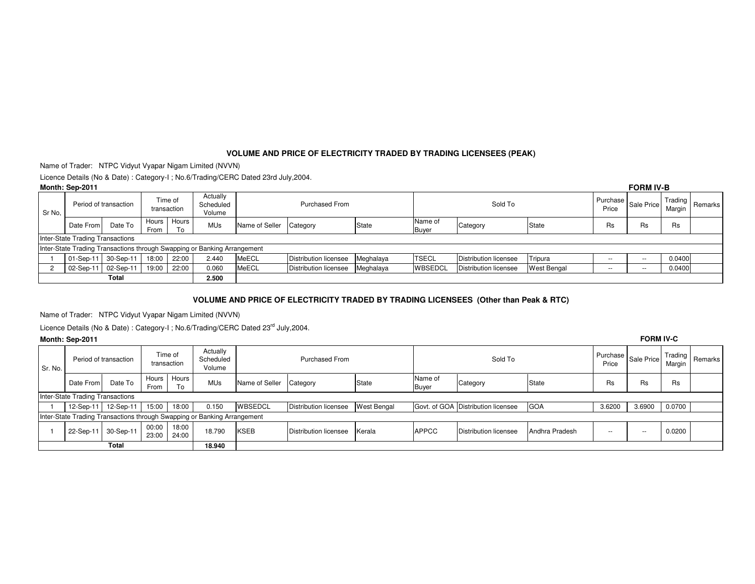## **VOLUME AND PRICE OF ELECTRICITY TRADED BY TRADING LICENSEES (PEAK)**

Name of Trader: NTPC Vidyut Vyapar Nigam Limited (NVVN)

Licence Details (No & Date) : Category-I ; No.6/Trading/CERC Dated 23rd July,2004.

|        | Month: Sep-2011                  |              |                        |             |                                                                          |                |                       |           |                         |                              |             |                                 | <b>FORM IV-B</b> |           |                     |
|--------|----------------------------------|--------------|------------------------|-------------|--------------------------------------------------------------------------|----------------|-----------------------|-----------|-------------------------|------------------------------|-------------|---------------------------------|------------------|-----------|---------------------|
| Sr No. | Period of transaction            |              | Time of<br>transaction |             | Actually<br>Scheduled<br>Volume                                          |                | <b>Purchased From</b> |           |                         | Sold To                      |             | Purchase<br>Sale Price<br>Price |                  | Margin    | I Trading   Remarks |
|        | Date From                        | Date To      | Hours<br>From          | Hours<br>Tο | <b>MUs</b>                                                               | Name of Seller | Category              | State     | Name of<br><b>Buyer</b> | Category                     | State       | Rs                              | Rs               | <b>Rs</b> |                     |
|        | Inter-State Trading Transactions |              |                        |             |                                                                          |                |                       |           |                         |                              |             |                                 |                  |           |                     |
|        |                                  |              |                        |             | Inter-State Trading Transactions through Swapping or Banking Arrangement |                |                       |           |                         |                              |             |                                 |                  |           |                     |
|        | 01-Sep-11                        | 30-Sep-11    | 18:00                  | 22:00       | 2.440                                                                    | <b>MeECL</b>   | Distribution licensee | Meghalaya | <b>ITSECL</b>           | Distribution licensee        | Tripura     | $\sim$ $\sim$                   | $-$              | 0.0400    |                     |
|        | 02-Sep-11                        | 02-Sep-11    | 19:00                  | 22:00       | 0.060                                                                    | MeECL          | Distribution licensee | Meghalaya | <b>WBSEDCL</b>          | <b>Distribution licensee</b> | West Bengal | $- -$                           | $- -$            | 0.0400    |                     |
|        |                                  | <b>Total</b> |                        |             | 2.500                                                                    |                |                       |           |                         |                              |             |                                 |                  |           |                     |

#### **VOLUME AND PRICE OF ELECTRICITY TRADED BY TRADING LICENSEES (Other than Peak & RTC)**

Name of Trader: NTPC Vidyut Vyapar Nigam Limited (NVVN)

Licence Details (No & Date) : Category-I ; No.6/Trading/CERC Dated 23<sup>rd</sup> July,2004.

### **Month: Sep-2011**

|                 | Month: Sep-2011                                                          |           |                        |                |                                 |                |                              |                    |                         |                                    |                |                                     | <b>FORM IV-C</b> |           |                   |  |
|-----------------|--------------------------------------------------------------------------|-----------|------------------------|----------------|---------------------------------|----------------|------------------------------|--------------------|-------------------------|------------------------------------|----------------|-------------------------------------|------------------|-----------|-------------------|--|
| Sr. No.         | Period of transaction                                                    |           | Time of<br>transaction |                | Actually<br>Scheduled<br>Volume |                | <b>Purchased From</b>        |                    |                         | Sold To                            |                | Purchase   Sale Price   ''<br>Price |                  | Margin    | Trading   Remarks |  |
|                 | Date From                                                                | Date To   | Hours<br>From          | Hours<br>To    | <b>MUs</b>                      | Name of Seller | Category                     | State              | Name of<br><b>Buyer</b> | Category                           | State          | Rs                                  | Rs               | <b>Rs</b> |                   |  |
|                 | Inter-State Trading Transactions                                         |           |                        |                |                                 |                |                              |                    |                         |                                    |                |                                     |                  |           |                   |  |
|                 | $12-Sep-11$                                                              | 12-Sep-11 | 15:00                  | 18:00          | 0.150                           | <b>WBSEDCL</b> | <b>Distribution licensee</b> | <b>West Bengal</b> |                         | Govt. of GOA Distribution licensee | GOA            | 3.6200                              | 3.6900           | 0.0700    |                   |  |
|                 | Inter-State Trading Transactions through Swapping or Banking Arrangement |           |                        |                |                                 |                |                              |                    |                         |                                    |                |                                     |                  |           |                   |  |
|                 | 22-Sep-11                                                                | 30-Sep-11 | 00:00<br>23:00         | 18:00<br>24:00 | 18.790                          | <b>KSEB</b>    | Distribution licensee        | Kerala             | <b>APPCC</b>            | Distribution licensee              | Andhra Pradesh | $- -$                               | $\sim$           | 0.0200    |                   |  |
| Total<br>18.940 |                                                                          |           |                        |                |                                 |                |                              |                    |                         |                                    |                |                                     |                  |           |                   |  |